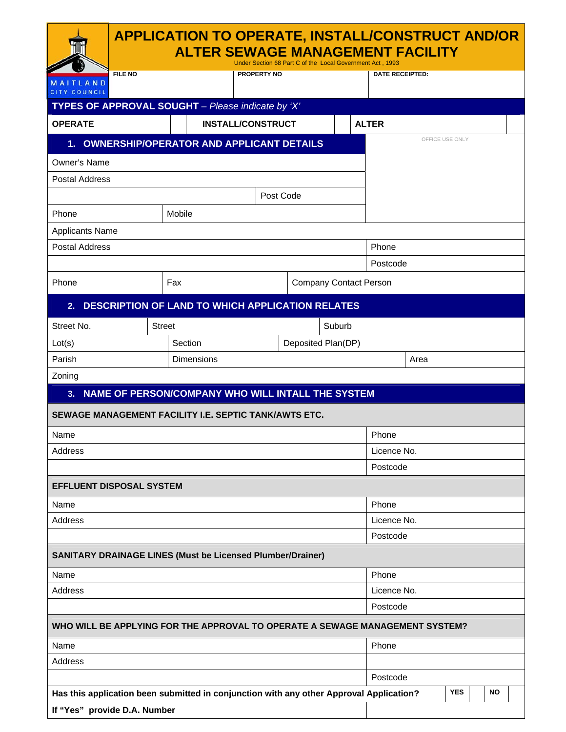|                                                                                         |               | Under Section 68 Part C of the Local Government Act, 1993 |                               | <b>APPLICATION TO OPERATE, INSTALL/CONSTRUCT AND/OR</b><br><b>ALTER SEWAGE MANAGEMENT FACILITY</b> |  |  |
|-----------------------------------------------------------------------------------------|---------------|-----------------------------------------------------------|-------------------------------|----------------------------------------------------------------------------------------------------|--|--|
| <b>FILE NO</b><br>MAITLAND                                                              |               | <b>PROPERTY NO</b>                                        |                               | <b>DATE RECEIPTED:</b>                                                                             |  |  |
| <b>CITY COUNCIL</b>                                                                     |               |                                                           |                               |                                                                                                    |  |  |
| TYPES OF APPROVAL SOUGHT - Please indicate by 'X'                                       |               |                                                           |                               |                                                                                                    |  |  |
| <b>OPERATE</b>                                                                          |               | <b>INSTALL/CONSTRUCT</b>                                  |                               | <b>ALTER</b><br>OFFICE USE ONLY                                                                    |  |  |
| 1. OWNERSHIP/OPERATOR AND APPLICANT DETAILS                                             |               |                                                           |                               |                                                                                                    |  |  |
| Owner's Name                                                                            |               |                                                           |                               |                                                                                                    |  |  |
| <b>Postal Address</b>                                                                   |               |                                                           |                               |                                                                                                    |  |  |
|                                                                                         |               | Post Code                                                 |                               |                                                                                                    |  |  |
| Phone                                                                                   | Mobile        |                                                           |                               |                                                                                                    |  |  |
| <b>Applicants Name</b>                                                                  |               |                                                           |                               |                                                                                                    |  |  |
| <b>Postal Address</b>                                                                   |               |                                                           |                               | Phone                                                                                              |  |  |
|                                                                                         |               |                                                           |                               | Postcode                                                                                           |  |  |
| Phone                                                                                   | Fax           |                                                           | <b>Company Contact Person</b> |                                                                                                    |  |  |
| 2.                                                                                      |               | <b>DESCRIPTION OF LAND TO WHICH APPLICATION RELATES</b>   |                               |                                                                                                    |  |  |
| Street No.                                                                              | <b>Street</b> |                                                           | Suburb                        |                                                                                                    |  |  |
| Lot(s)                                                                                  | Section       |                                                           | Deposited Plan(DP)            |                                                                                                    |  |  |
| Parish                                                                                  | Dimensions    |                                                           | Area                          |                                                                                                    |  |  |
| Zoning                                                                                  |               |                                                           |                               |                                                                                                    |  |  |
| 3 <sub>1</sub>                                                                          |               | NAME OF PERSON/COMPANY WHO WILL INTALL THE SYSTEM         |                               |                                                                                                    |  |  |
| SEWAGE MANAGEMENT FACILITY I.E. SEPTIC TANK/AWTS ETC.                                   |               |                                                           |                               |                                                                                                    |  |  |
| Name                                                                                    |               |                                                           |                               | Phone                                                                                              |  |  |
| Address                                                                                 | Licence No.   |                                                           |                               |                                                                                                    |  |  |
|                                                                                         |               | Postcode                                                  |                               |                                                                                                    |  |  |
| <b>EFFLUENT DISPOSAL SYSTEM</b>                                                         |               |                                                           |                               |                                                                                                    |  |  |
| Name                                                                                    |               |                                                           |                               | Phone                                                                                              |  |  |
| Address                                                                                 |               |                                                           |                               | Licence No.                                                                                        |  |  |
|                                                                                         |               |                                                           |                               | Postcode                                                                                           |  |  |
| <b>SANITARY DRAINAGE LINES (Must be Licensed Plumber/Drainer)</b>                       |               |                                                           |                               |                                                                                                    |  |  |
| Name                                                                                    |               |                                                           |                               | Phone                                                                                              |  |  |
| Address                                                                                 |               |                                                           |                               | Licence No.                                                                                        |  |  |
|                                                                                         |               |                                                           |                               | Postcode                                                                                           |  |  |
|                                                                                         |               |                                                           |                               | WHO WILL BE APPLYING FOR THE APPROVAL TO OPERATE A SEWAGE MANAGEMENT SYSTEM?                       |  |  |
| Name                                                                                    |               |                                                           |                               | Phone                                                                                              |  |  |
| Address                                                                                 |               |                                                           |                               |                                                                                                    |  |  |
|                                                                                         |               |                                                           |                               | Postcode                                                                                           |  |  |
| Has this application been submitted in conjunction with any other Approval Application? |               |                                                           |                               | <b>YES</b><br><b>NO</b>                                                                            |  |  |
| If "Yes" provide D.A. Number                                                            |               |                                                           |                               |                                                                                                    |  |  |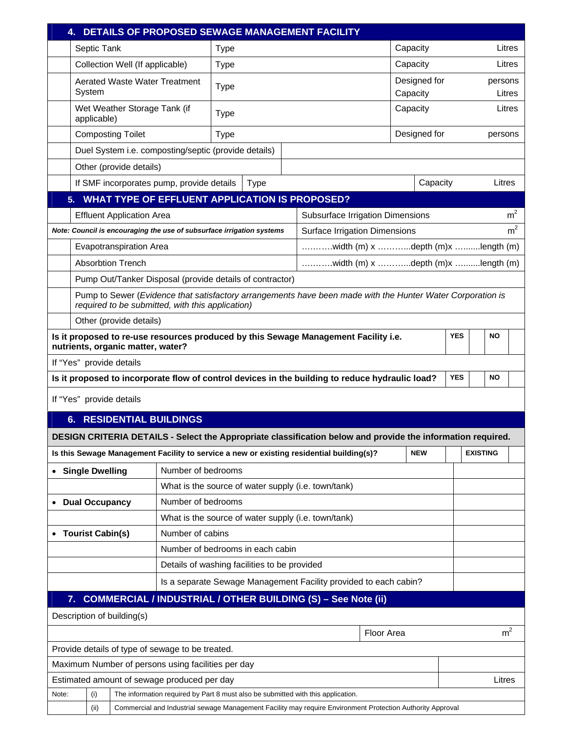| <b>DETAILS OF PROPOSED SEWAGE MANAGEMENT FACILITY</b><br>4.                                                                                                    |                                                                  |                                                                                                             |                    |             |  |  |                                                                                                            |                                                        |                                        |            |            |                 |                |
|----------------------------------------------------------------------------------------------------------------------------------------------------------------|------------------------------------------------------------------|-------------------------------------------------------------------------------------------------------------|--------------------|-------------|--|--|------------------------------------------------------------------------------------------------------------|--------------------------------------------------------|----------------------------------------|------------|------------|-----------------|----------------|
|                                                                                                                                                                | Septic Tank                                                      |                                                                                                             |                    | <b>Type</b> |  |  |                                                                                                            |                                                        | Capacity                               |            |            |                 | Litres         |
|                                                                                                                                                                |                                                                  | Collection Well (If applicable)                                                                             |                    | <b>Type</b> |  |  |                                                                                                            |                                                        | Capacity                               |            |            |                 | Litres         |
|                                                                                                                                                                | System                                                           | <b>Aerated Waste Water Treatment</b>                                                                        |                    | <b>Type</b> |  |  | Designed for<br>Capacity                                                                                   |                                                        |                                        | persons    | Litres     |                 |                |
|                                                                                                                                                                | applicable)                                                      | Wet Weather Storage Tank (if                                                                                | Type               |             |  |  |                                                                                                            | Capacity                                               |                                        |            |            | Litres          |                |
|                                                                                                                                                                |                                                                  | <b>Composting Toilet</b>                                                                                    | <b>Type</b>        |             |  |  |                                                                                                            | Designed for                                           |                                        | persons    |            |                 |                |
| Duel System i.e. composting/septic (provide details)                                                                                                           |                                                                  |                                                                                                             |                    |             |  |  |                                                                                                            |                                                        |                                        |            |            |                 |                |
| Other (provide details)                                                                                                                                        |                                                                  |                                                                                                             |                    |             |  |  |                                                                                                            |                                                        |                                        |            |            |                 |                |
| If SMF incorporates pump, provide details<br>Capacity<br><b>Type</b>                                                                                           |                                                                  |                                                                                                             |                    |             |  |  | Litres                                                                                                     |                                                        |                                        |            |            |                 |                |
| <b>WHAT TYPE OF EFFLUENT APPLICATION IS PROPOSED?</b><br>5.                                                                                                    |                                                                  |                                                                                                             |                    |             |  |  |                                                                                                            |                                                        |                                        |            |            |                 |                |
|                                                                                                                                                                |                                                                  | <b>Effluent Application Area</b>                                                                            |                    |             |  |  | Subsurface Irrigation Dimensions                                                                           |                                                        |                                        |            |            |                 | m <sup>2</sup> |
|                                                                                                                                                                |                                                                  | Note: Council is encouraging the use of subsurface irrigation systems                                       |                    |             |  |  |                                                                                                            | m <sup>2</sup><br><b>Surface Irrigation Dimensions</b> |                                        |            |            |                 |                |
|                                                                                                                                                                |                                                                  | <b>Evapotranspiration Area</b>                                                                              |                    |             |  |  | width (m) $x$ depth (m) $x$ length (m)                                                                     |                                                        |                                        |            |            |                 |                |
|                                                                                                                                                                |                                                                  | <b>Absorbtion Trench</b>                                                                                    |                    |             |  |  |                                                                                                            |                                                        | width (m) $x$ depth (m) $x$ length (m) |            |            |                 |                |
|                                                                                                                                                                | Pump Out/Tanker Disposal (provide details of contractor)         |                                                                                                             |                    |             |  |  |                                                                                                            |                                                        |                                        |            |            |                 |                |
| Pump to Sewer (Evidence that satisfactory arrangements have been made with the Hunter Water Corporation is<br>required to be submitted, with this application) |                                                                  |                                                                                                             |                    |             |  |  |                                                                                                            |                                                        |                                        |            |            |                 |                |
|                                                                                                                                                                |                                                                  | Other (provide details)                                                                                     |                    |             |  |  |                                                                                                            |                                                        |                                        |            |            |                 |                |
| <b>YES</b><br><b>NO</b><br>Is it proposed to re-use resources produced by this Sewage Management Facility i.e.<br>nutrients, organic matter, water?            |                                                                  |                                                                                                             |                    |             |  |  |                                                                                                            |                                                        |                                        |            |            |                 |                |
|                                                                                                                                                                | If "Yes" provide details                                         |                                                                                                             |                    |             |  |  |                                                                                                            |                                                        |                                        |            |            |                 |                |
|                                                                                                                                                                |                                                                  | Is it proposed to incorporate flow of control devices in the building to reduce hydraulic load?             |                    |             |  |  |                                                                                                            |                                                        |                                        |            | <b>YES</b> | <b>NO</b>       |                |
|                                                                                                                                                                | If "Yes" provide details                                         |                                                                                                             |                    |             |  |  |                                                                                                            |                                                        |                                        |            |            |                 |                |
|                                                                                                                                                                |                                                                  | <b>6. RESIDENTIAL BUILDINGS</b>                                                                             |                    |             |  |  |                                                                                                            |                                                        |                                        |            |            |                 |                |
|                                                                                                                                                                |                                                                  | DESIGN CRITERIA DETAILS - Select the Appropriate classification below and provide the information required. |                    |             |  |  |                                                                                                            |                                                        |                                        |            |            |                 |                |
|                                                                                                                                                                |                                                                  | Is this Sewage Management Facility to service a new or existing residential building(s)?                    |                    |             |  |  |                                                                                                            |                                                        |                                        | <b>NEW</b> |            | <b>EXISTING</b> |                |
|                                                                                                                                                                | • Single Dwelling                                                |                                                                                                             | Number of bedrooms |             |  |  |                                                                                                            |                                                        |                                        |            |            |                 |                |
|                                                                                                                                                                |                                                                  |                                                                                                             |                    |             |  |  | What is the source of water supply (i.e. town/tank)                                                        |                                                        |                                        |            |            |                 |                |
| $\bullet$                                                                                                                                                      | <b>Dual Occupancy</b>                                            |                                                                                                             | Number of bedrooms |             |  |  |                                                                                                            |                                                        |                                        |            |            |                 |                |
|                                                                                                                                                                |                                                                  |                                                                                                             |                    |             |  |  | What is the source of water supply (i.e. town/tank)                                                        |                                                        |                                        |            |            |                 |                |
|                                                                                                                                                                | <b>Tourist Cabin(s)</b>                                          |                                                                                                             | Number of cabins   |             |  |  |                                                                                                            |                                                        |                                        |            |            |                 |                |
|                                                                                                                                                                | Number of bedrooms in each cabin                                 |                                                                                                             |                    |             |  |  |                                                                                                            |                                                        |                                        |            |            |                 |                |
|                                                                                                                                                                | Details of washing facilities to be provided                     |                                                                                                             |                    |             |  |  |                                                                                                            |                                                        |                                        |            |            |                 |                |
|                                                                                                                                                                | Is a separate Sewage Management Facility provided to each cabin? |                                                                                                             |                    |             |  |  |                                                                                                            |                                                        |                                        |            |            |                 |                |
| 7. COMMERCIAL / INDUSTRIAL / OTHER BUILDING (S) - See Note (ii)                                                                                                |                                                                  |                                                                                                             |                    |             |  |  |                                                                                                            |                                                        |                                        |            |            |                 |                |
| Description of building(s)                                                                                                                                     |                                                                  |                                                                                                             |                    |             |  |  |                                                                                                            |                                                        |                                        |            |            |                 |                |
| m <sup>2</sup><br>Floor Area                                                                                                                                   |                                                                  |                                                                                                             |                    |             |  |  |                                                                                                            |                                                        |                                        |            |            |                 |                |
|                                                                                                                                                                | Provide details of type of sewage to be treated.                 |                                                                                                             |                    |             |  |  |                                                                                                            |                                                        |                                        |            |            |                 |                |
| Maximum Number of persons using facilities per day                                                                                                             |                                                                  |                                                                                                             |                    |             |  |  |                                                                                                            |                                                        |                                        |            |            |                 |                |
|                                                                                                                                                                |                                                                  | Estimated amount of sewage produced per day                                                                 |                    |             |  |  |                                                                                                            |                                                        |                                        |            |            | Litres          |                |
| Note:                                                                                                                                                          | (i)                                                              |                                                                                                             |                    |             |  |  | The information required by Part 8 must also be submitted with this application.                           |                                                        |                                        |            |            |                 |                |
|                                                                                                                                                                | (ii)                                                             |                                                                                                             |                    |             |  |  | Commercial and Industrial sewage Management Facility may require Environment Protection Authority Approval |                                                        |                                        |            |            |                 |                |

 $\mathsf{l}$